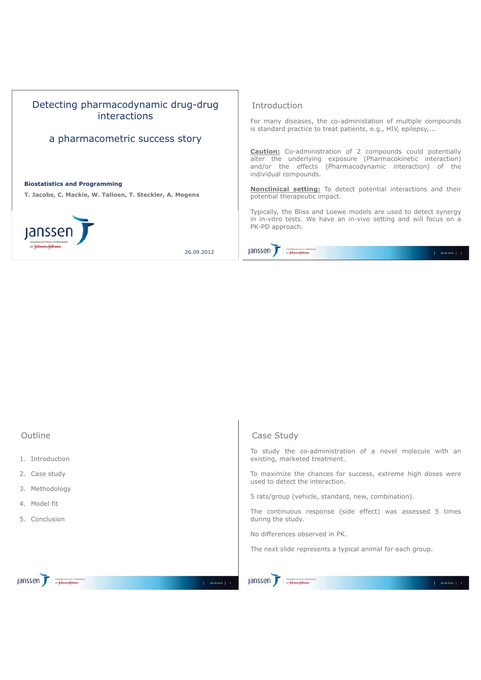

| Outline                       | Case Study                                                                                      |
|-------------------------------|-------------------------------------------------------------------------------------------------|
| 1. Introduction               | To study the co-administration of a novel molecule with an<br>existing, marketed treatment.     |
| 2. Case study                 | To maximize the chances for success, extreme high doses were<br>used to detect the interaction. |
| 3. Methodology                | 5 rats/group (vehicle, standard, new, combination).                                             |
| 4. Model fit<br>5. Conclusion | The continuous response (side effect) was assessed 5 times<br>during the study.                 |
|                               | No differences observed in PK.                                                                  |
|                               | The next slide represents a typical animal for each group.                                      |
| PHARMACEUTICAL COMPANIES      | PHARMACEUTICAL COMPANIES                                                                        |
| 26.09.2012   1                | jansser<br>26.09.2012 3                                                                         |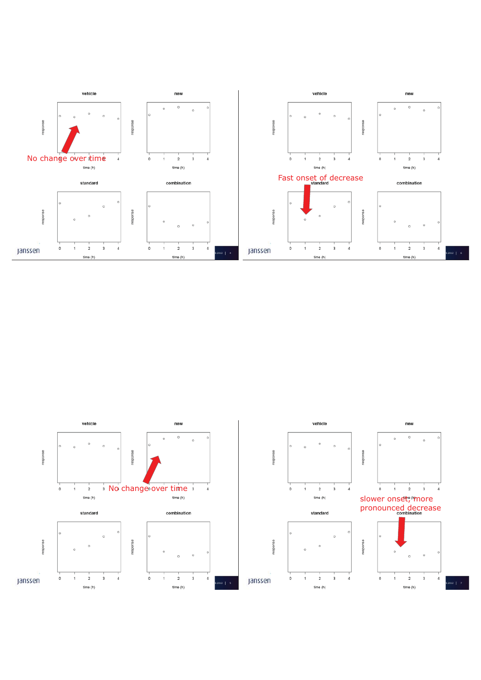

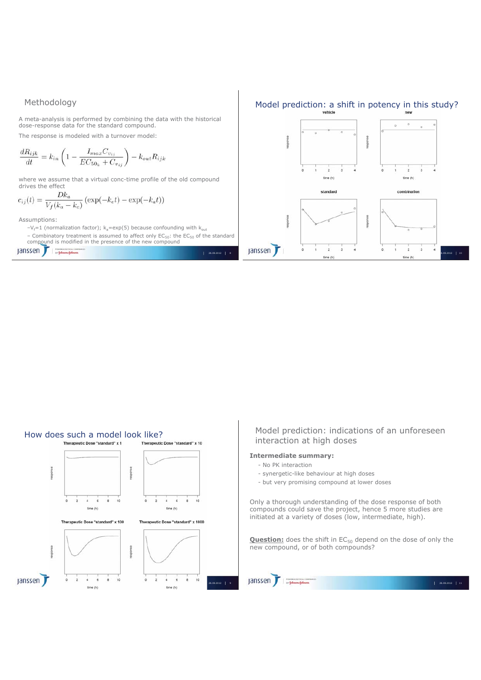## Methodology

A meta-analysis is performed by combining the data with the historical dose-response data for the standard compound.

The response is modeled with a turnover model:

$$
\frac{dR_{ijk}}{dt} = k_{in} \left( 1 - \frac{I_{max}C_{v_{ij}}}{EC_{50_k} + C_{v_{ij}}} \right) - k_{out}R_{ijk}
$$

where we assume that a virtual conc-time profile of the old compound drives the effect

$$
c_{ij}(t) = \frac{Dk_a}{V_f(k_a - k_e)} \left( \exp(-k_e t) - \exp(-k_a t) \right)
$$

Assumptions:

- $-V_f$ =1 (normalization factor);  $k_a$ =exp(5) because confounding with  $k_{out}$
- Combinatory treatment is assumed to affect only  $EC_{50}$ : the  $EC_{50}$  of the standard compound is modified in the presence of the new compound



# Model prediction: a shift in potency in this study?



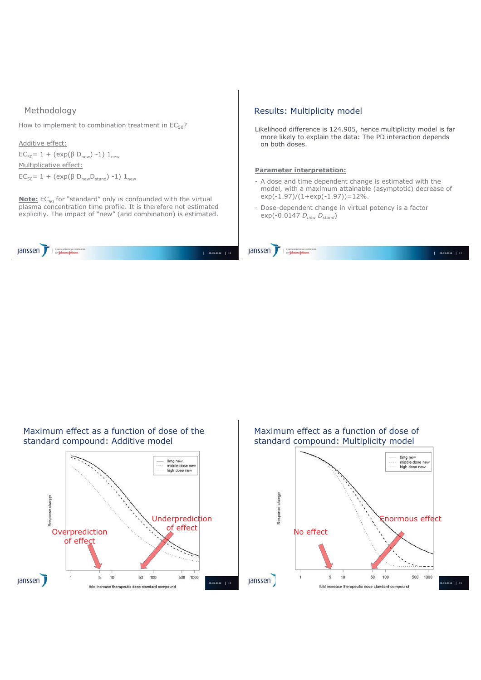### Methodology

How to implement to combination treatment in  $EC_{50}$ ?

```
Additive effect:
EC<sub>50</sub>= 1 + (exp(β D<sub>new</sub>) -1) 1<sub>new</sub>
Multiplicative effect:
EC<sub>50</sub>= 1 + (exp(β D<sub>new</sub>D<sub>stand</sub>) -1) 1<sub>new</sub>
```
**Note:** EC<sub>50</sub> for "standard" only is confounded with the virtual plasma concentration time profile. It is therefore not estimated explicitly. The impact of "new" (and combination) is estimated.

Janssen T

janssen

#### Results: Multiplicity model

Likelihood difference is 124.905, hence multiplicity model is far more likely to explain the data: The PD interaction depends on both doses.

#### **Parameter interpretation:**

- A dose and time dependent change is estimated with the model, with a maximum attainable (asymptotic) decrease of exp(-1.97)/(1+exp(-1.97))=12%.
- Dose-dependent change in virtual potency is a factor exp(-0.0147 *Dnew Dstand*)

Maximum effect as a function of dose of the Maximum effect as a function of dose of standard compound: Additive model standard compound: Multiplicity model 0mg new<br>middle dose new<br>high dose new 0mg new<br>middle dose new high dose new esponse change of effect<br>Construction<br>Construction<br>Construction Underprediction Enormous effect No effect of effect 500 1000  $\overline{5}$  $10$ 50 100 500 1000  $\overline{5}$ 10 50 100 janssen ) **Janssen** fold increase therapeutic dose standard compound fold increase therapeutic dose standard compound